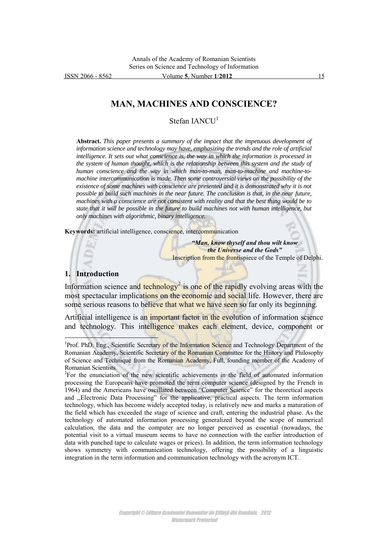ISSN 2066 - 8562 Volume **5**, Number **1**/**2012** 15

# **MAN, MACHINES AND CONSCIENCE?**

Stefan IANCU<sup>1</sup>

**Abstract.** *This paper presents a summary of the impact that the impetuous development of information science and technology may have, emphasizing the trends and the role of artificial intelligence. It sets out what conscience is, the way in which the information is processed in the system of human thought, which is the relationship between this system and the study of human conscience and the way in which man-to-man, man-to-machine and machine-tomachine intercommunication is made. Then some controversial views on the possibility of the existence of some machines with conscience are presented and it is demonstrated why it is not possible to build such machines in the near future. The conclusion is that, in the near future, machines with a conscience are not consistent with reality and that the best thing would be to state that it will be possible in the future to build machines not with human intelligence, but only machines with algorithmic, binary intelligence.*

**Keywords:** artificial intelligence, conscience, intercommunication

*"Man, know thyself and thou wilt know the Universe and the Gods"* Inscription from the frontispiece of the Temple of Delphi.

#### **1. Introduction**

 $\overline{a}$ 

Information science and technology<sup>2</sup> is one of the rapidly evolving areas with the most spectacular implications on the economic and social life. However, there are some serious reasons to believe that what we have seen so far only its beginning.

Artificial intelligence is an important factor in the evolution of information science and technology. This intelligence makes each element, device, component or

<sup>&</sup>lt;sup>1</sup>Prof. PhD. Eng., Scientific Secretary of the Information Science and Technology Department of the Romanian Academy, Scientific Secretary of the Romanian Committee for the History and Philosophy of Science and Technique from the Romanian Academy, Full, founding member of the Academy of Romanian Scientists.

 $2^{\circ}$ For the enunciation of the new scientific achievements in the field of automated information processing the Europeans have promoted the term computer science (designed by the French in 1964) and the Americans have oscillated between "Computer Science" for the theoretical aspects and ,,Electronic Data Processing" for the applicative, practical aspects. The term information technology, which has become widely accepted today, is relatively new and marks a maturation of the field which has exceeded the stage of science and craft, entering the industrial phase. As the technology of automated information processing generalized beyond the scope of numerical calculation, the data and the computer are no longer perceived as essential (nowadays, the potential visit to a virtual museum seems to have no connection with the earlier introduction of data with punched tape to calculate wages or prices). In addition, the term information technology shows symmetry with communication technology, offering the possibility of a linguistic integration in the term information and communication technology with the acronym ICT.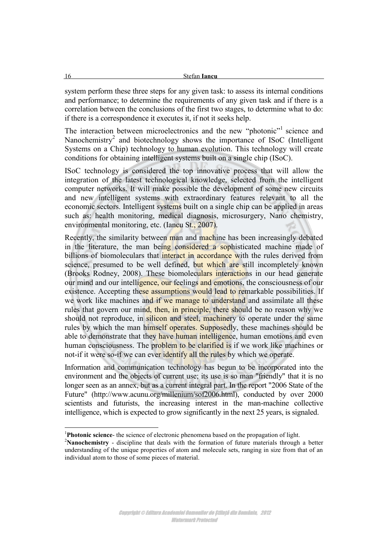system perform these three steps for any given task: to assess its internal conditions and performance; to determine the requirements of any given task and if there is a correlation between the conclusions of the first two stages, to determine what to do: if there is a correspondence it executes it, if not it seeks help.

The interaction between microelectronics and the new "photonic"<sup>1</sup> science and Nanochemistry<sup>2</sup> and biotechnology shows the importance of ISoC (Intelligent Systems on a Chip) technology to human evolution. This technology will create conditions for obtaining intelligent systems built on a single chip (ISoC).

ISoC technology is considered the top innovative process that will allow the integration of the latest technological knowledge, selected from the intelligent computer networks. It will make possible the development of some new circuits and new intelligent systems with extraordinary features relevant to all the economic sectors. Intelligent systems built on a single chip can be applied in areas such as: health monitoring, medical diagnosis, microsurgery, Nano chemistry, environmental monitoring, etc. (Iancu St., 2007).

Recently, the similarity between man and machine has been increasingly debated in the literature, the man being considered a sophisticated machine made of billions of biomoleculars that interact in accordance with the rules derived from science, presumed to be well defined, but which are still incompletely known (Brooks Rodney, 2008). These biomoleculars interactions in our head generate our mind and our intelligence, our feelings and emotions, the consciousness of our existence. Accepting these assumptions would lead to remarkable possibilities. If we work like machines and if we manage to understand and assimilate all these rules that govern our mind, then, in principle, there should be no reason why we should not reproduce, in silicon and steel, machinery to operate under the same rules by which the man himself operates. Supposedly, these machines should be able to demonstrate that they have human intelligence, human emotions and even human consciousness. The problem to be clarified is if we work like machines or not-if it were so-if we can ever identify all the rules by which we operate.

Information and communication technology has begun to be incorporated into the environment and the objects of current use; its use is so man "friendly" that it is no longer seen as an annex, but as a current integral part. In the report "2006 State of the Future" (http://www.acunu.org/millenium/sof2006.html), conducted by over 2000 scientists and futurists, the increasing interest in the man-machine collective intelligence, which is expected to grow significantly in the next 25 years, is signaled.

<sup>1</sup>**Photonic science**- the science of electronic phenomena based on the propagation of light.

<sup>2</sup>**Nanochemistry** - discipline that deals with the formation of future materials through a better understanding of the unique properties of atom and molecule sets, ranging in size from that of an individual atom to those of some pieces of material.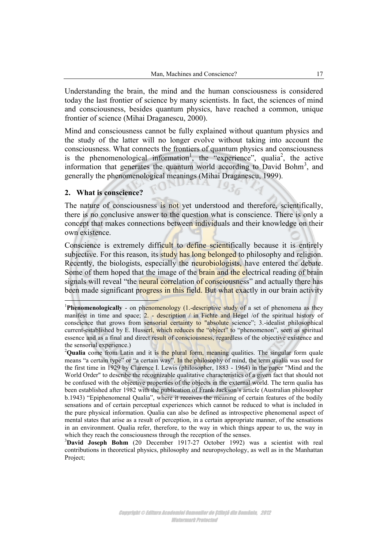Understanding the brain, the mind and the human consciousness is considered today the last frontier of science by many scientists. In fact, the sciences of mind and consciousness, besides quantum physics, have reached a common, unique frontier of science (Mihai Draganescu, 2000).

Mind and consciousness cannot be fully explained without quantum physics and the study of the latter will no longer evolve without taking into account the consciousness. What connects the frontiers of quantum physics and consciousness is the phenomenological information<sup>1</sup>, the "experience", qualia<sup>2</sup>, the active information that generates the quantum world according to David Bohm<sup>3</sup>, and generally the phenomenological meanings (Mihai Draganescu, 1999).

### **2. What is conscience?**

 $\overline{\phantom{a}}$ 

The nature of consciousness is not yet understood and therefore, scientifically, there is no conclusive answer to the question what is conscience. There is only a concept that makes connections between individuals and their knowledge on their own existence.

Conscience is extremely difficult to define scientifically because it is entirely subjective. For this reason, its study has long belonged to philosophy and religion. Recently, the biologists, especially the neurobiologists, have entered the debate. Some of them hoped that the image of the brain and the electrical reading of brain signals will reveal "the neural correlation of consciousness" and actually there has been made significant progress in this field. But what exactly in our brain activity

<sup>&</sup>lt;sup>1</sup>**Phenomenologically** - on phenomenology (1.-descriptive study of a set of phenomena as they manifest in time and space;  $2.$  - description  $/$  in Fichte and Hegel  $/$ of the spiritual history of conscience that grows from sensorial certainty to "absolute science"; 3.-idealist philosophical current-established by E. Husserl, which reduces the "object" to "phenomenon", seen as spiritual essence and as a final and direct result of consciousness, regardless of the objective existence and the sensorial experience.)

<sup>&</sup>lt;sup>2</sup>Qualia come from Latin and it is the plural form, meaning qualities. The singular form quale means "a certain type" or "a certain way". In the philosophy of mind, the term qualia was used for the first time in 1929 by Clarence I. Lewis (philosopher, 1883 - 1964) in the paper "Mind and the World Order" to describe the recognizable qualitative characteristics of a given fact that should not be confused with the objective properties of the objects in the external world. The term qualia has been established after 1982 with the publication of Frank Jackson's article (Australian philosopher b.1943) "Epiphenomenal Qualia", where it receives the meaning of certain features of the bodily sensations and of certain perceptual experiences which cannot be reduced to what is included in the pure physical information. Qualia can also be defined as introspective phenomenal aspect of mental states that arise as a result of perception, in a certain appropriate manner, of the sensations in an environment. Qualia refer, therefore, to the way in which things appear to us, the way in which they reach the consciousness through the reception of the senses.

<sup>3</sup>**David Joseph Bohm** (20 December 1917-27 October 1992) was a scientist with real contributions in theoretical physics, philosophy and neuropsychology, as well as in the Manhattan Project;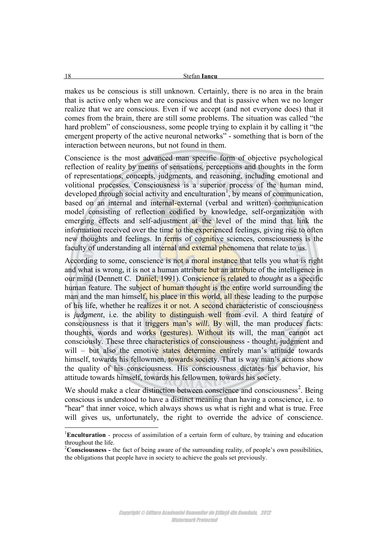makes us be conscious is still unknown. Certainly, there is no area in the brain that is active only when we are conscious and that is passive when we no longer realize that we are conscious. Even if we accept (and not everyone does) that it comes from the brain, there are still some problems. The situation was called "the hard problem" of consciousness, some people trying to explain it by calling it "the emergent property of the active neuronal networks" - something that is born of the interaction between neurons, but not found in them.

Conscience is the most advanced man specific form of objective psychological reflection of reality by means of sensations, perceptions and thoughts in the form of representations, concepts, judgments, and reasoning, including emotional and volitional processes. Consciousness is a superior process of the human mind, developed through social activity and enculturation<sup>1</sup>, by means of communication, based on an internal and internal-external (verbal and written) communication model consisting of reflection codified by knowledge, self-organization with emerging effects and self-adjustment at the level of the mind that link the information received over the time to the experienced feelings, giving rise to often new thoughts and feelings. In terms of cognitive sciences, consciousness is the faculty of understanding all internal and external phenomena that relate to us.

According to some, conscience is not a moral instance that tells you what is right and what is wrong, it is not a human attribute but an attribute of the intelligence in our mind (Dennett C. Daniel, 1991). Conscience is related to *thought* as a specific human feature. The subject of human thought is the entire world surrounding the man and the man himself, his place in this world, all these leading to the purpose of his life, whether he realizes it or not. A second characteristic of consciousness is *judgment*, i.e. the ability to distinguish well from evil. A third feature of consciousness is that it triggers man's *will*. By will, the man produces facts: thoughts, words and works (gestures). Without its will, the man cannot act consciously. These three characteristics of consciousness - thought, judgment and will – but also the emotive states determine entirely man's attitude towards himself, towards his fellowmen, towards society. That is way man's actions show the quality of his consciousness. His consciousness dictates his behavior, his attitude towards himself, towards his fellowmen, towards his society.

We should make a clear distinction between conscience and consciousness<sup>2</sup>. Being conscious is understood to have a distinct meaning than having a conscience, i.e. to "hear" that inner voice, which always shows us what is right and what is true. Free will gives us, unfortunately, the right to override the advice of conscience.

<sup>1</sup>**Enculturation** - process of assimilation of a certain form of culture, by training and education throughout the life.

<sup>2</sup>**Consciousness -** the fact of being aware of the surrounding reality, of people's own possibilities, the obligations that people have in society to achieve the goals set previously.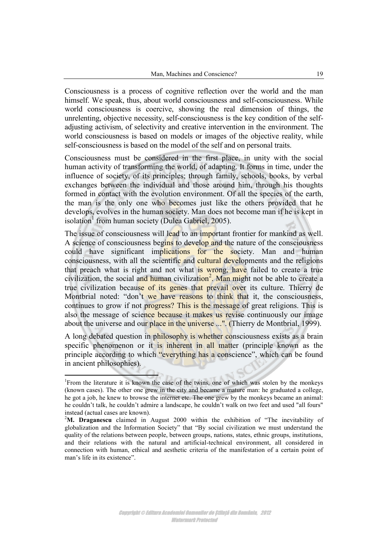Consciousness is a process of cognitive reflection over the world and the man himself. We speak, thus, about world consciousness and self-consciousness. While world consciousness is coercive, showing the real dimension of things, the unrelenting, objective necessity, self-consciousness is the key condition of the selfadjusting activism, of selectivity and creative intervention in the environment. The world consciousness is based on models or images of the objective reality, while self-consciousness is based on the model of the self and on personal traits.

Consciousness must be considered in the first place, in unity with the social human activity of transforming the world, of adapting. It forms in time, under the influence of society, of its principles; through family, schools, books, by verbal exchanges between the individual and those around him, through his thoughts formed in contact with the evolution environment. Of all the species of the earth, the man is the only one who becomes just like the others provided that he develops, evolves in the human society. Man does not become man if he is kept in isolation<sup>1</sup> from human society (Dulea Gabriel, 2005).

The issue of consciousness will lead to an important frontier for mankind as well. A science of consciousness begins to develop and the nature of the consciousness could have significant implications for the society. Man and human consciousness, with all the scientific and cultural developments and the religions that preach what is right and not what is wrong, have failed to create a true civilization, the social and human civilization<sup>2</sup>. Man might not be able to create a true civilization because of its genes that prevail over its culture. Thierry de Montbrial noted: "don't we have reasons to think that it, the consciousness, continues to grow if not progress? This is the message of great religions. This is also the message of science because it makes us revise continuously our image about the universe and our place in the universe ...". (Thierry de Montbrial, 1999).

A long debated question in philosophy is whether consciousness exists as a brain specific phenomenon or it is inherent in all matter (principle known as the principle according to which "everything has a conscience", which can be found in ancient philosophies).

 1 From the literature it is known the case of the twins, one of which was stolen by the monkeys (known cases). The other one grew in the city and became a mature man: he graduated a college, he got a job, he knew to browse the internet etc. The one grew by the monkeys became an animal: he couldn't talk, he couldn't admire a landscape, he couldn't walk on two feet and used "all fours" instead (actual cases are known).

<sup>&</sup>lt;sup>2</sup>M. Draganescu claimed in August 2000 within the exhibition of "The inevitability of globalization and the Information Society" that "By social civilization we must understand the quality of the relations between people, between groups, nations, states, ethnic groups, institutions, and their relations with the natural and artificial-technical environment, all considered in connection with human, ethical and aesthetic criteria of the manifestation of a certain point of man's life in its existence".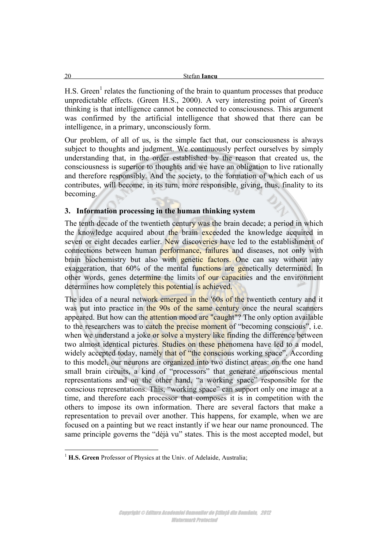H.S. Green<sup>1</sup> relates the functioning of the brain to quantum processes that produce unpredictable effects. (Green H.S., 2000). A very interesting point of Green's thinking is that intelligence cannot be connected to consciousness. This argument was confirmed by the artificial intelligence that showed that there can be intelligence, in a primary, unconsciously form.

Our problem, of all of us, is the simple fact that, our consciousness is always subject to thoughts and judgment. We continuously perfect ourselves by simply understanding that, in the order established by the reason that created us, the consciousness is superior to thoughts and we have an obligation to live rationally and therefore responsibly. And the society, to the formation of which each of us contributes, will become, in its turn, more responsible, giving, thus, finality to its becoming.

## **3. Information processing in the human thinking system**

The tenth decade of the twentieth century was the brain decade; a period in which the knowledge acquired about the brain exceeded the knowledge acquired in seven or eight decades earlier. New discoveries have led to the establishment of connections between human performance, failures and diseases, not only with brain biochemistry but also with genetic factors. One can say without any exaggeration, that 60% of the mental functions are genetically determined. In other words, genes determine the limits of our capacities and the environment determines how completely this potential is achieved.

The idea of a neural network emerged in the '60s of the twentieth century and it was put into practice in the 90s of the same century once the neural scanners appeared. But how can the attention mood are "caught"? The only option available to the researchers was to catch the precise moment of "becoming conscious", i.e. when we understand a joke or solve a mystery like finding the difference between two almost identical pictures. Studies on these phenomena have led to a model, widely accepted today, namely that of "the conscious working space". According to this model, our neurons are organized into two distinct areas: on the one hand small brain circuits, a kind of "processors" that generate unconscious mental representations and on the other hand, "a working space" responsible for the conscious representations. This, "working space" can support only one image at a time, and therefore each processor that composes it is in competition with the others to impose its own information. There are several factors that make a representation to prevail over another. This happens, for example, when we are focused on a painting but we react instantly if we hear our name pronounced. The same principle governs the "déjà vu" states. This is the most accepted model, but

 $\overline{a}$ <sup>1</sup> H.S. Green Professor of Physics at the Univ. of Adelaide, Australia;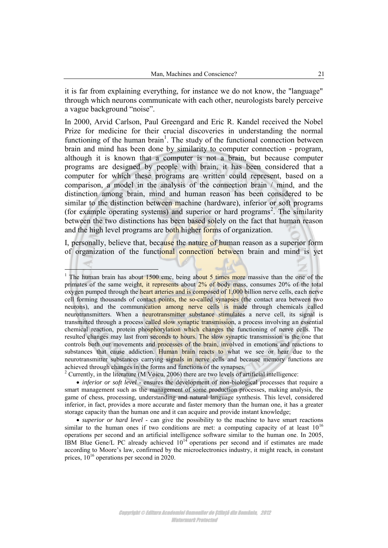it is far from explaining everything, for instance we do not know, the "language" through which neurons communicate with each other, neurologists barely perceive a vague background "noise".

In 2000, Arvid Carlson, Paul Greengard and Eric R. Kandel received the Nobel Prize for medicine for their crucial discoveries in understanding the normal functioning of the human brain<sup>1</sup>. The study of the functional connection between brain and mind has been done by similarity to computer connection - program, although it is known that a computer is not a brain, but because computer programs are designed by people with brain, it has been considered that a computer for which these programs are written could represent, based on a comparison, a model in the analysis of the connection brain / mind, and the distinction among brain, mind and human reason has been considered to be similar to the distinction between machine (hardware), inferior or soft programs (for example operating systems) and superior or hard programs<sup>2</sup>. The similarity between the two distinctions has been based solely on the fact that human reason and the high level programs are both higher forms of organization.

I, personally, believe that, because the nature of human reason as a superior form of organization of the functional connection between brain and mind is yet

<sup>&</sup>lt;sup>1</sup> The human brain has about 1500 cmc, being about 5 times more massive than the one of the primates of the same weight, it represents about  $2\%$  of body mass, consumes 20% of the total oxygen pumped through the heart arteries and is composed of 1,000 billion nerve cells, each nerve cell forming thousands of contact points, the so-called synapses (the contact area between two neurons), and the communication among nerve cells is made through chemicals called neurotransmitters. When a neurotransmitter substance stimulates a nerve cell, its signal is transmitted through a process called slow synaptic transmission, a process involving an essential chemical reaction, protein phosphorylation which changes the functioning of nerve cells. The resulted changes may last from seconds to hours. The slow synaptic transmission is the one that controls both our movements and processes of the brain, involved in emotions and reactions to substances that cause addiction. Human brain reacts to what we see or hear due to the neurotransmitter substances carrying signals in nerve cells and because memory functions are achieved through changes in the forms and functions of the synapses.

 $2$  Currently, in the literature (M Voicu, 2006) there are two levels of artificial intelligence:

*inferior or soft level* - ensures the development of non-biological processes that require a smart management such as the management of some production processes, making analysis, the game of chess, processing, understanding and natural language synthesis. This level, considered inferior, in fact, provides a more accurate and faster memory than the human one, it has a greater storage capacity than the human one and it can acquire and provide instant knowledge;

*superior or hard level* - can give the possibility to the machine to have smart reactions similar to the human ones if two conditions are met: a computing capacity of at least  $10^{16}$ operations per second and an artificial intelligence software similar to the human one. In 2005, IBM Blue Gene/L PC already achieved  $10^{14}$  operations per second and if estimates are made according to Moore's law, confirmed by the microelectronics industry, it might reach, in constant prices,  $10^{16}$  operations per second in 2020.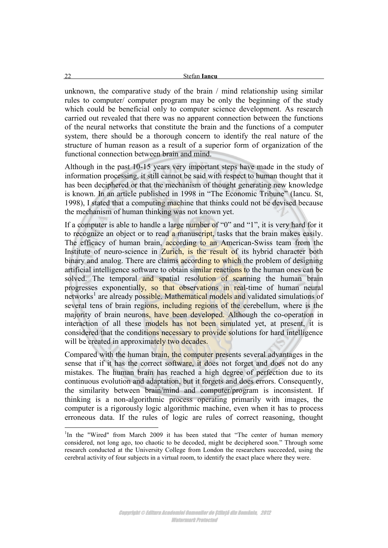unknown, the comparative study of the brain / mind relationship using similar rules to computer/ computer program may be only the beginning of the study which could be beneficial only to computer science development. As research carried out revealed that there was no apparent connection between the functions of the neural networks that constitute the brain and the functions of a computer system, there should be a thorough concern to identify the real nature of the structure of human reason as a result of a superior form of organization of the functional connection between brain and mind.

Although in the past 10-15 years very important steps have made in the study of information processing, it still cannot be said with respect to human thought that it has been deciphered or that the mechanism of thought generating new knowledge is known. In an article published in 1998 in "The Economic Tribune" (Iancu. St, 1998), I stated that a computing machine that thinks could not be devised because the mechanism of human thinking was not known yet.

If a computer is able to handle a large number of "0" and "1", it is very hard for it to recognize an object or to read a manuscript, tasks that the brain makes easily. The efficacy of human brain, according to an American-Swiss team from the Institute of neuro-science in Zurich, is the result of its hybrid character both binary and analog. There are claims according to which the problem of designing artificial intelligence software to obtain similar reactions to the human ones can be solved. The temporal and spatial resolution of scanning the human brain progresses exponentially, so that observations in real-time of human neural networks<sup>1</sup> are already possible. Mathematical models and validated simulations of several tens of brain regions, including regions of the cerebellum, where is the majority of brain neurons, have been developed. Although the co-operation in interaction of all these models has not been simulated yet, at present, it is considered that the conditions necessary to provide solutions for hard intelligence will be created in approximately two decades.

Compared with the human brain, the computer presents several advantages in the sense that if it has the correct software, it does not forget and does not do any mistakes. The human brain has reached a high degree of perfection due to its continuous evolution and adaptation, but it forgets and does errors. Consequently, the similarity between brain/mind and computer/program is inconsistent. If thinking is a non-algorithmic process operating primarily with images, the computer is a rigorously logic algorithmic machine, even when it has to process erroneous data. If the rules of logic are rules of correct reasoning, thought

<sup>&</sup>lt;sup>1</sup>In the "Wired" from March 2009 it has been stated that "The center of human memory considered, not long ago, too chaotic to be decoded, might be deciphered soon." Through some research conducted at the University College from London the researchers succeeded, using the cerebral activity of four subjects in a virtual room, to identify the exact place where they were.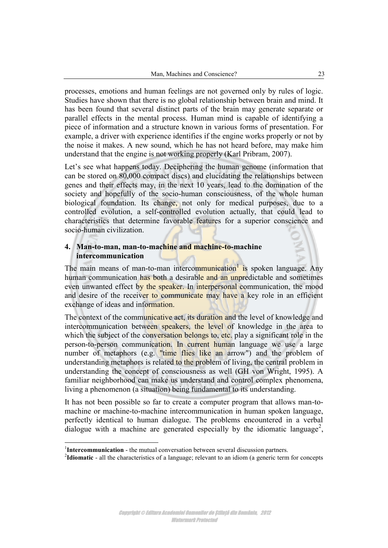processes, emotions and human feelings are not governed only by rules of logic. Studies have shown that there is no global relationship between brain and mind. It has been found that several distinct parts of the brain may generate separate or parallel effects in the mental process. Human mind is capable of identifying a piece of information and a structure known in various forms of presentation. For example, a driver with experience identifies if the engine works properly or not by the noise it makes. A new sound, which he has not heard before, may make him understand that the engine is not working properly (Karl Pribram, 2007).

Let's see what happens today. Deciphering the human genome (information that can be stored on 80,000 compact discs) and elucidating the relationships between genes and their effects may, in the next 10 years, lead to the domination of the society and hopefully of the socio-human consciousness, of the whole human biological foundation. Its change, not only for medical purposes, due to a controlled evolution, a self-controlled evolution actually, that could lead to characteristics that determine favorable features for a superior conscience and socio-human civilization.

### **4. Man-to-man, man-to-machine and machine-to-machine intercommunication**

The main means of man-to-man intercommunication<sup>1</sup> is spoken language. Any human communication has both a desirable and an unpredictable and sometimes even unwanted effect by the speaker. In interpersonal communication, the mood and desire of the receiver to communicate may have a key role in an efficient exchange of ideas and information.

The context of the communicative act, its duration and the level of knowledge and intercommunication between speakers, the level of knowledge in the area to which the subject of the conversation belongs to, etc. play a significant role in the person-to-person communication. In current human language we use a large number of metaphors (e.g. "time flies like an arrow") and the problem of understanding metaphors is related to the problem of living, the central problem in understanding the concept of consciousness as well (GH von Wright, 1995). A familiar neighborhood can make us understand and control complex phenomena, living a phenomenon (a situation) being fundamental to its understanding.

It has not been possible so far to create a computer program that allows man-tomachine or machine-to-machine intercommunication in human spoken language, perfectly identical to human dialogue. The problems encountered in a verbal dialogue with a machine are generated especially by the idiomatic language<sup>2</sup>,

 $\overline{a}$ 

Copyright © Editura Academiei Oamenilor de Știință din România, 2012 Watermark Protected

<sup>&</sup>lt;sup>1</sup>Intercommunication - the mutual conversation between several discussion partners.

<sup>&</sup>lt;sup>2</sup>Idiomatic - all the characteristics of a language; relevant to an idiom (a generic term for concepts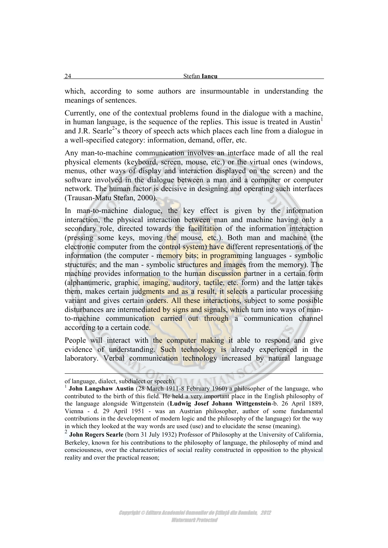which, according to some authors are insurmountable in understanding the meanings of sentences.

Currently, one of the contextual problems found in the dialogue with a machine, in human language, is the sequence of the replies. This issue is treated in Austin $<sup>1</sup>$ </sup> and J.R. Searle<sup>2</sup>'s theory of speech acts which places each line from a dialogue in a well-specified category: information, demand, offer, etc.

Any man-to-machine communication involves an interface made of all the real physical elements (keyboard, screen, mouse, etc.) or the virtual ones (windows, menus, other ways of display and interaction displayed on the screen) and the software involved in the dialogue between a man and a computer or computer network. The human factor is decisive in designing and operating such interfaces (Trausan-Matu Stefan, 2000).

In man-to-machine dialogue, the key effect is given by the information interaction, the physical interaction between man and machine having only a secondary role, directed towards the facilitation of the information interaction (pressing some keys, moving the mouse, etc.). Both man and machine (the electronic computer from the control system) have different representations of the information (the computer - memory bits; in programming languages - symbolic structures; and the man - symbolic structures and images from the memory). The machine provides information to the human discussion partner in a certain form (alphanumeric, graphic, imaging, auditory, tactile, etc. form) and the latter takes them, makes certain judgments and as a result, it selects a particular processing variant and gives certain orders. All these interactions, subject to some possible disturbances are intermediated by signs and signals, which turn into ways of manto-machine communication carried out through a communication channel according to a certain code.

People will interact with the computer making it able to respond and give evidence of understanding. Such technology is already experienced in the laboratory. Verbal communication technology increased by natural language

-

of language, dialect, subdialect or speech).

<sup>&</sup>lt;sup>1</sup> John Langshaw Austin (28 March 1911-8 February 1960) a philosopher of the language, who contributed to the birth of this field. He held a very important place in the English philosophy of the language alongside Wittgenstein (**Ludwig Josef Johann Wittgenstein**-b. 26 April 1889, Vienna - d. 29 April 1951 - was an Austrian philosopher, author of some fundamental contributions in the development of modern logic and the philosophy of the language) for the way in which they looked at the way words are used (use) and to elucidate the sense (meaning).

<sup>2</sup> **John Rogers Searle** (born 31 July 1932) Professor of Philosophy at the University of California, Berkeley, known for his contributions to the philosophy of language, the philosophy of mind and consciousness, over the characteristics of social reality constructed in opposition to the physical reality and over the practical reason;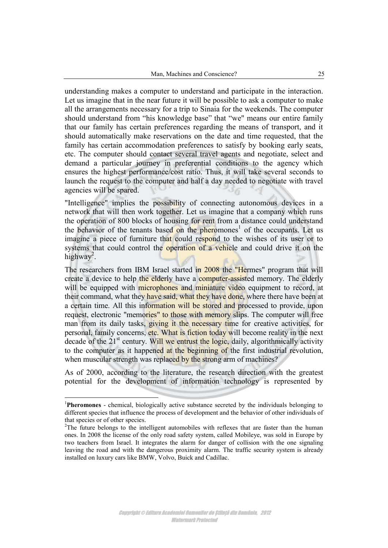understanding makes a computer to understand and participate in the interaction. Let us imagine that in the near future it will be possible to ask a computer to make all the arrangements necessary for a trip to Sinaia for the weekends. The computer should understand from "his knowledge base" that "we" means our entire family that our family has certain preferences regarding the means of transport, and it should automatically make reservations on the date and time requested, that the family has certain accommodation preferences to satisfy by booking early seats, etc. The computer should contact several travel agents and negotiate, select and demand a particular journey in preferential conditions to the agency which ensures the highest performance/cost ratio. Thus, it will take several seconds to launch the request to the computer and half a day needed to negotiate with travel agencies will be spared.

"Intelligence" implies the possibility of connecting autonomous devices in a network that will then work together. Let us imagine that a company which runs the operation of 800 blocks of housing for rent from a distance could understand the behavior of the tenants based on the pheromones<sup>1</sup> of the occupants. Let us imagine a piece of furniture that could respond to the wishes of its user or to systems that could control the operation of a vehicle and could drive it on the highway<sup>2</sup>.

The researchers from IBM Israel started in 2008 the "Hermes" program that will create a device to help the elderly have a computer-assisted memory. The elderly will be equipped with **microphones and miniature video** equipment to record, at their command, what they have said, what they have done, where there have been at a certain time. All this information will be stored and processed to provide, upon request, electronic "memories" to those with memory slips. The computer will free man from its daily tasks, giving it the necessary time for creative activities, for personal, family concerns, etc. What is fiction today will become reality in the next decade of the  $21<sup>st</sup>$  century. Will we entrust the logic, daily, algorithmically activity to the computer as it happened at the beginning of the first industrial revolution, when muscular strength was replaced by the strong arm of machines?

As of 2000, according to the literature, the research direction with the greatest potential for the development of information technology is represented by

<sup>1</sup>**Pheromones** - chemical, biologically active substance secreted by the individuals belonging to different species that influence the process of development and the behavior of other individuals of that species or of other species.

<sup>&</sup>lt;sup>2</sup>The future belongs to the intelligent automobiles with reflexes that are faster than the human ones. In 2008 the license of the only road safety system, called Mobileye, was sold in Europe by two teachers from Israel. It integrates the alarm for danger of collision with the one signaling leaving the road and with the dangerous proximity alarm. The traffic security system is already installed on luxury cars like BMW, Volvo, Buick and Cadillac.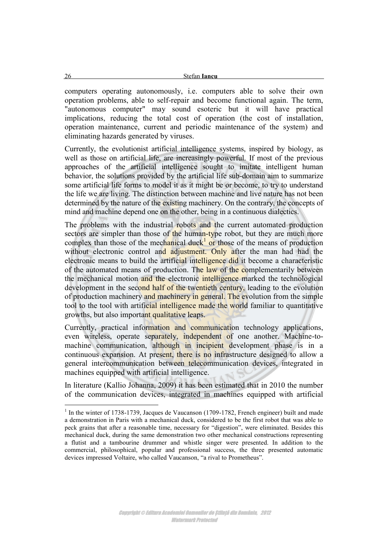computers operating autonomously, i.e. computers able to solve their own operation problems, able to self-repair and become functional again. The term, "autonomous computer" may sound esoteric but it will have practical implications, reducing the total cost of operation (the cost of installation, operation maintenance, current and periodic maintenance of the system) and eliminating hazards generated by viruses.

Currently, the evolutionist artificial intelligence systems, inspired by biology, as well as those on artificial life, are increasingly powerful. If most of the previous approaches of the artificial intelligence sought to imitate intelligent human behavior, the solutions provided by the artificial life sub-domain aim to summarize some artificial life forms to model it as it might be or become, to try to understand the life we are living. The distinction between machine and live nature has not been determined by the nature of the existing machinery. On the contrary, the concepts of mind and machine depend one on the other, being in a continuous dialectics.

The problems with the industrial robots and the current automated production sectors are simpler than those of the human-type robot, but they are much more complex than those of the mechanical duck<sup>1</sup> or those of the means of production without electronic control and adjustment. Only after the man had had the electronic means to build the artificial intelligence did it become a characteristic of the automated means of production. The law of the complementarily between the mechanical motion and the electronic intelligence marked the technological development in the second half of the twentieth century, leading to the evolution of production machinery and machinery in general. The evolution from the simple tool to the tool with artificial intelligence made the world familiar to quantitative growths, but also important qualitative leaps.

Currently, practical information and communication technology applications, even wireless, operate separately, independent of one another. Machine-tomachine communication, although in incipient development phase is in a continuous expansion. At present, there is no infrastructure designed to allow a general intercommunication between telecommunication devices, integrated in machines equipped with artificial intelligence.

In literature (Kallio Johanna, 2009) it has been estimated that in 2010 the number of the communication devices, integrated in machines equipped with artificial

<sup>&</sup>lt;sup>1</sup> In the winter of 1738-1739, Jacques de Vaucanson (1709-1782, French engineer) built and made a demonstration in Paris with a mechanical duck, considered to be the first robot that was able to peck grains that after a reasonable time, necessary for "digestion", were eliminated. Besides this mechanical duck, during the same demonstration two other mechanical constructions representing a flutist and a tambourine drummer and whistle singer were presented. In addition to the commercial, philosophical, popular and professional success, the three presented automatic devices impressed Voltaire, who called Vaucanson, "a rival to Prometheus".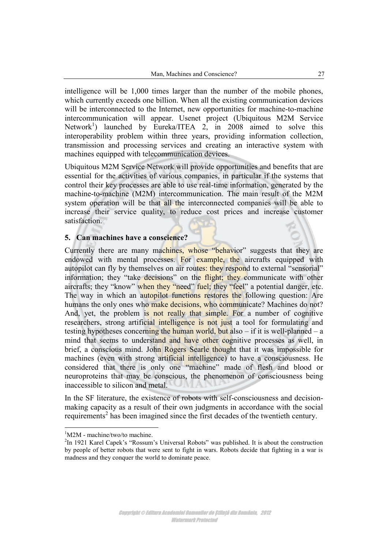intelligence will be 1,000 times larger than the number of the mobile phones, which currently exceeds one billion. When all the existing communication devices will be interconnected to the Internet, new opportunities for machine-to-machine intercommunication will appear. Usenet project (Ubiquitous M2M Service Network<sup>1</sup>) launched by Eureka/ITEA 2, in 2008 aimed to solve this interoperability problem within three years, providing information collection, transmission and processing services and creating an interactive system with machines equipped with telecommunication devices.

Ubiquitous M2M Service Network will provide opportunities and benefits that are essential for the activities of various companies, in particular if the systems that control their key processes are able to use real-time information, generated by the machine-to-machine (M2M) intercommunication. The main result of the M2M system operation will be that all the interconnected companies will be able to increase their service quality, to reduce cost prices and increase customer satisfaction.

### **5. Can machines have a conscience?**

Currently there are many machines, whose "behavior" suggests that they are endowed with mental processes. For example, the aircrafts equipped with autopilot can fly by themselves on air routes: they respond to external "sensorial" information; they "take decisions" on the flight; they communicate with other aircrafts; they "know" when they "need" fuel; they "feel" a potential danger, etc. The way in which an autopilot functions restores the following question: Are humans the only ones who make decisions, who communicate? Machines do not? And, yet, the problem is not really that simple. For a number of cognitive researchers, strong artificial intelligence is not just a tool for formulating and testing hypotheses concerning the human world, but also  $-$  if it is well-planned  $-$  a mind that seems to understand and have other cognitive processes as well, in brief, a conscious mind. John Rogers Searle thought that it was impossible for machines (even with strong artificial intelligence) to have a consciousness. He considered that there is only one "machine" made of flesh and blood or neuroproteins that may be conscious, the phenomenon of consciousness being inaccessible to silicon and metal.

In the SF literature, the existence of robots with self-consciousness and decisionmaking capacity as a result of their own judgments in accordance with the social requirements<sup>2</sup> has been imagined since the first decades of the twentieth century.

 $\overline{a}$  ${}^{1}$ M2M - machine/two/to machine.

<sup>&</sup>lt;sup>2</sup>In 1921 Karel Capek's "Rossum's Universal Robots" was published. It is about the construction by people of better robots that were sent to fight in wars. Robots decide that fighting in a war is madness and they conquer the world to dominate peace.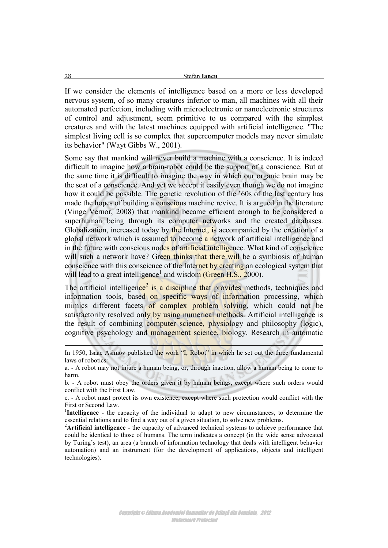If we consider the elements of intelligence based on a more or less developed nervous system, of so many creatures inferior to man, all machines with all their automated perfection, including with microelectronic or nanoelectronic structures of control and adjustment, seem primitive to us compared with the simplest creatures and with the latest machines equipped with artificial intelligence. "The simplest living cell is so complex that supercomputer models may never simulate its behavior" (Wayt Gibbs W., 2001).

Some say that mankind will never build a machine with a conscience. It is indeed difficult to imagine how a brain-robot could be the support of a conscience. But at the same time it is difficult to imagine the way in which our organic brain may be the seat of a conscience. And yet we accept it easily even though we do not imagine how it could be possible. The genetic revolution of the '60s of the last century has made the hopes of building a conscious machine revive. It is argued in the literature (Vinge Vernor, 2008) that mankind became efficient enough to be considered a superhuman being through its computer networks and the created databases. Globalization, increased today by the Internet, is accompanied by the creation of a global network which is assumed to become a network of artificial intelligence and in the future with conscious nodes of artificial intelligence. What kind of conscience will such a network have? Green thinks that there will be a symbiosis of human conscience with this conscience of the Internet by creating an ecological system that will lead to a great intelligence<sup>1</sup> and wisdom (Green H.S., 2000).

The artificial intelligence<sup>2</sup> is a discipline that provides methods, techniques and information tools, based on specific ways of information processing, which mimics different facets of complex problem solving, which could not be satisfactorily resolved only by using numerical methods. Artificial intelligence is the result of combining computer science, physiology and philosophy (logic), cognitive psychology and management science, biology. Research in automatic

-

In 1950, Isaac Asimov published the work "I, Robot" in which he set out the three fundamental laws of robotics:

a. - A robot may not injure a human being, or, through inaction, allow a human being to come to harm.

b. - A robot must obey the orders given it by human beings, except where such orders would conflict with the First Law.

c. - A robot must protect its own existence, except where such protection would conflict with the First or Second Law.

<sup>&</sup>lt;sup>1</sup>Intelligence - the capacity of the individual to adapt to new circumstances, to determine the essential relations and to find a way out of a given situation, to solve new problems.

<sup>&</sup>lt;sup>2</sup>Artificial intelligence - the capacity of advanced technical systems to achieve performance that could be identical to those of humans. The term indicates a concept (in the wide sense advocated by Turing's test), an area (a branch of information technology that deals with intelligent behavior automation) and an instrument (for the development of applications, objects and intelligent technologies).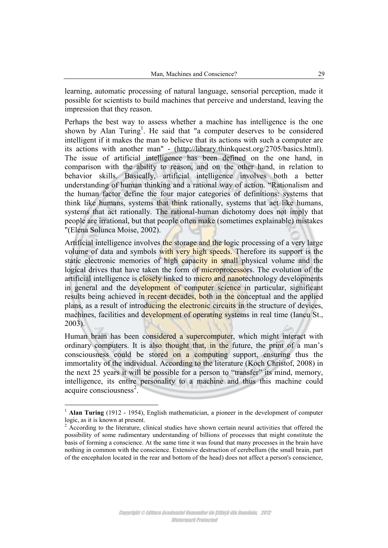learning, automatic processing of natural language, sensorial perception, made it possible for scientists to build machines that perceive and understand, leaving the impression that they reason.

Perhaps the best way to assess whether a machine has intelligence is the one shown by Alan Turing<sup>1</sup>. He said that "a computer deserves to be considered intelligent if it makes the man to believe that its actions with such a computer are its actions with another man" - (http://library.thinkquest.org/2705/basics.html). The issue of artificial intelligence has been defined on the one hand, in comparison with the ability to reason, and on the other hand, in relation to behavior skills. Basically, artificial intelligence involves both a better understanding of human thinking and a rational way of action. "Rationalism and the human factor define the four major categories of definitions: systems that think like humans, systems that think rationally, systems that act like humans, systems that act rationally. The rational-human dichotomy does not imply that people are irrational, but that people often make (sometimes explainable) mistakes "(Elena Solunca Moise, 2002).

Artificial intelligence involves the storage and the logic processing of a very large volume of data and symbols with very high speeds. Therefore its support is the static electronic memories of high capacity in small physical volume and the logical drives that have taken the form of microprocessors. The evolution of the artificial intelligence is closely linked to micro and nanotechnology developments in general and the development of computer science in particular, significant results being achieved in recent decades, both in the conceptual and the applied plans, as a result of introducing the electronic circuits in the structure of devices, machines, facilities and development of operating systems in real time (Iancu St., 2003).

Human brain has been considered a supercomputer, which might interact with ordinary computers. It is also thought that, in the future, the print of a man's consciousness could be stored on a computing support, ensuring thus the immortality of the individual. According to the literature (Koch Christof, 2008) in the next 25 years it will be possible for a person to "transfer" its mind, memory, intelligence, its entire personality to a machine and thus this machine could acquire consciousness<sup>2</sup>.

<sup>&</sup>lt;sup>1</sup> **Alan Turing** (1912 - 1954), English mathematician, a pioneer in the development of computer logic, as it is known at present.

<sup>&</sup>lt;sup>2</sup> According to the literature, clinical studies have shown certain neural activities that offered the possibility of some rudimentary understanding of billions of processes that might constitute the basis of forming a conscience. At the same time it was found that many processes in the brain have nothing in common with the conscience. Extensive destruction of cerebellum (the small brain, part of the encephalon located in the rear and bottom of the head) does not affect a person's conscience,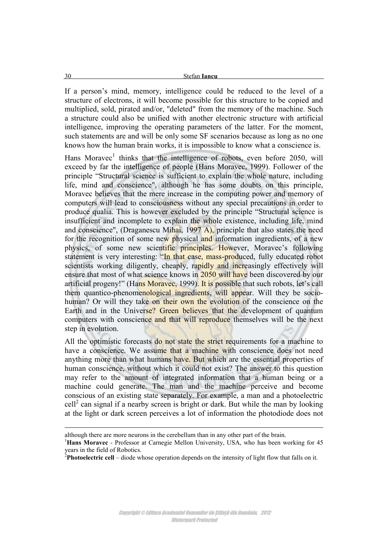If a person's mind, memory, intelligence could be reduced to the level of a structure of electrons, it will become possible for this structure to be copied and multiplied, sold, pirated and/or, "deleted" from the memory of the machine. Such a structure could also be unified with another electronic structure with artificial intelligence, improving the operating parameters of the latter. For the moment, such statements are and will be only some SF scenarios because as long as no one knows how the human brain works, it is impossible to know what a conscience is.

Hans Moravec<sup>1</sup> thinks that the intelligence of robots, even before 2050, will exceed by far the intelligence of people (Hans Moravec, 1999). Follower of the principle "Structural science is sufficient to explain the whole nature, including life, mind and conscience", although he has some doubts on this principle, Moravec believes that the mere increase in the computing power and memory of computers will lead to consciousness without any special precautions in order to produce qualia. This is however excluded by the principle "Structural science is insufficient and incomplete to explain the whole existence, including life, mind and conscience", (Draganescu Mihai,  $1997$  A), principle that also states the need for the recognition of some new physical and information ingredients, of a new physics, of some new scientific principles. However, Moravec's following statement is very interesting: "In that case, mass-produced, fully educated robot scientists working diligently, cheaply, rapidly and increasingly effectively will ensure that most of what science knows in 2050 will have been discovered by our artificial progeny!" (Hans Moravec, 1999). It is possible that such robots, let's call them quantico-phenomenological ingredients, will appear. Will they be sociohuman? Or will they take on their own the evolution of the conscience on the Earth and in the Universe? Green believes that the development of quantum computers with conscience and that will reproduce themselves will be the next step in evolution.

All the optimistic forecasts do not state the strict requirements for a machine to have a conscience. We assume that a machine with conscience does not need anything more than what humans have. But which are the essential properties of human conscience, without which it could not exist? The answer to this question may refer to the amount of integrated information that a human being or a machine could generate. The man and the machine perceive and become conscious of an existing state separately. For example, a man and a photoelectric  $\text{cell}^2$  can signal if a nearby screen is bright or dark. But while the man by looking at the light or dark screen perceives a lot of information the photodiode does not

-

although there are more neurons in the cerebellum than in any other part of the brain.

<sup>1</sup>**Hans Moravec** - Professor at Carnegie Mellon University, USA, who has been working for 45 years in the field of Robotics.

<sup>&</sup>lt;sup>2</sup>Photoelectric cell – diode whose operation depends on the intensity of light flow that falls on it.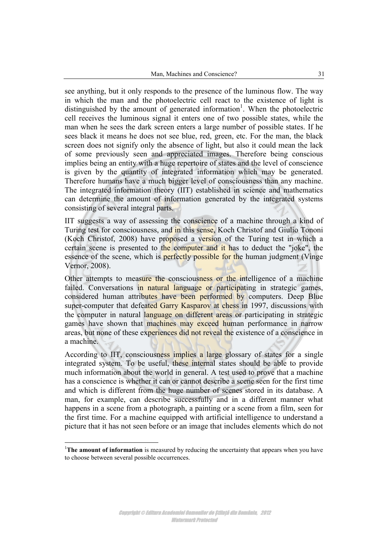see anything, but it only responds to the presence of the luminous flow. The way in which the man and the photoelectric cell react to the existence of light is distinguished by the amount of generated information<sup>1</sup>. When the photoelectric cell receives the luminous signal it enters one of two possible states, while the man when he sees the dark screen enters a large number of possible states. If he sees black it means he does not see blue, red, green, etc. For the man, the black screen does not signify only the absence of light, but also it could mean the lack of some previously seen and appreciated images. Therefore being conscious implies being an entity with a huge repertoire of states and the level of conscience is given by the quantity of integrated information which may be generated. Therefore humans have a much bigger level of consciousness than any machine. The integrated information theory (IIT) established in science and mathematics can determine the amount of information generated by the integrated systems consisting of several integral parts.

IIT suggests a way of assessing the conscience of a machine through a kind of Turing test for consciousness, and in this sense, Koch Christof and Giulio Tononi (Koch Christof, 2008) have proposed a version of the Turing test in which a certain scene is presented to the computer and it has to deduct the "joke", the essence of the scene, which is **perfectly possible for the human judgment** (Vinge Vernor, 2008).

Other attempts to measure the consciousness or the intelligence of a machine failed. Conversations in natural language or participating in strategic games, considered human attributes have been performed by computers. Deep Blue super-computer that defeated Garry Kasparov at chess in 1997, discussions with the computer in natural language on different areas or participating in strategic games have shown that machines may exceed human performance in narrow areas, but none of these experiences did not reveal the existence of a conscience in a machine.

According to IIT, consciousness implies a large glossary of states for a single integrated system. To be useful, these internal states should be able to provide much information about the world in general. A test used to prove that a machine has a conscience is whether it can or cannot describe a scene seen for the first time and which is different from the huge number of scenes stored in its database. A man, for example, can describe successfully and in a different manner what happens in a scene from a photograph, a painting or a scene from a film, seen for the first time. For a machine equipped with artificial intelligence to understand a picture that it has not seen before or an image that includes elements which do not

<sup>&</sup>lt;sup>1</sup>The amount of information is measured by reducing the uncertainty that appears when you have to choose between several possible occurrences.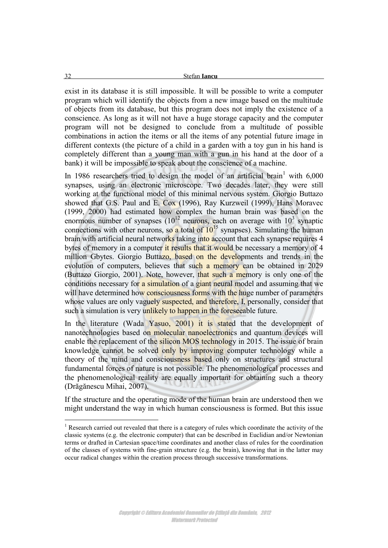exist in its database it is still impossible. It will be possible to write a computer program which will identify the objects from a new image based on the multitude of objects from its database, but this program does not imply the existence of a conscience. As long as it will not have a huge storage capacity and the computer program will not be designed to conclude from a multitude of possible combinations in action the items or all the items of any potential future image in different contexts (the picture of a child in a garden with a toy gun in his hand is completely different than a young man with a gun in his hand at the door of a bank) it will be impossible to speak about the conscience of a machine.

In 1986 researchers tried to design the model of an artificial brain  $1$  with 6,000 synapses, using an electronic microscope. Two decades later, they were still working at the functional model of this minimal nervous system. Giorgio Buttazo showed that G.S. Paul and E. Cox (1996), Ray Kurzweil (1999), Hans Moravec (1999, 2000) had estimated how complex the human brain was based on the enormous number of synapses  $(10^{12}$  neurons, each on average with  $10^{3}$  synaptic connections with other neurons, so a total of  $10^{15}$  synapses). Simulating the human brain with artificial neural networks taking into account that each synapse requires 4 bytes of memory in a computer it results that it would be necessary a memory of 4 million Gbytes. Giorgio Buttazo, based on the developments and trends in the evolution of computers, believes that such a memory can be obtained in 2029 (Buttazo Giorgio, 2001). Note, however, that such a memory is only one of the conditions necessary for a simulation of a giant neural model and assuming that we will have determined how consciousness forms with the huge number of parameters whose values are only vaguely suspected, and therefore, I, personally, consider that such a simulation is very unlikely to happen in the foreseeable future.

In the literature (Wada Yasuo, 2001) it is stated that the development of nanotechnologies based on molecular nanoelectronics and quantum devices will enable the replacement of the silicon MOS technology in 2015. The issue of brain knowledge cannot be solved only by improving computer technology while a theory of the mind and consciousness based only on structures and structural fundamental forces of nature is not possible. The phenomenological processes and the phenomenological reality are equally important for obtaining such a theory (Drăgănescu Mihai, 2007).

If the structure and the operating mode of the human brain are understood then we might understand the way in which human consciousness is formed. But this issue

 $1$  Research carried out revealed that there is a category of rules which coordinate the activity of the classic systems (e.g. the electronic computer) that can be described in Euclidian and/or Newtonian terms or drafted in Cartesian space/time coordinates and another class of rules for the coordination of the classes of systems with fine-grain structure (e.g. the brain), knowing that in the latter may occur radical changes within the creation process through successive transformations.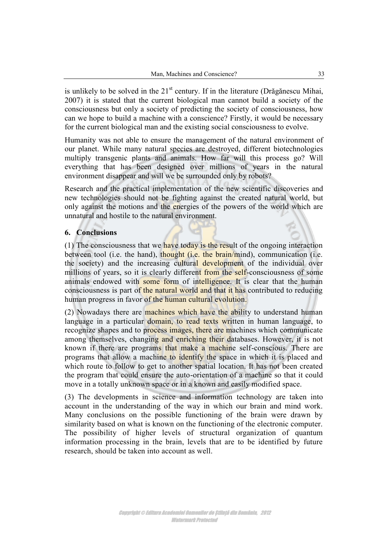is unlikely to be solved in the  $21<sup>st</sup>$  century. If in the literature (Drăgănescu Mihai, 2007) it is stated that the current biological man cannot build a society of the consciousness but only a society of predicting the society of consciousness, how can we hope to build a machine with a conscience? Firstly, it would be necessary for the current biological man and the existing social consciousness to evolve.

Humanity was not able to ensure the management of the natural environment of our planet. While many natural species are destroyed, different biotechnologies multiply transgenic plants and animals. How far will this process go? Will everything that has been designed over millions of years in the natural environment disappear and will we be surrounded only by robots?

Research and the practical implementation of the new scientific discoveries and new technologies should not be fighting against the created natural world, but only against the motions and the energies of the powers of the world which are unnatural and hostile to the natural environment.

# **6. Conclusions**

(1) The consciousness that we have today is the result of the ongoing interaction between tool (i.e. the hand), thought (i.e. the brain/mind), communication (i.e. the society) and the increasing cultural development of the individual over millions of years, so it is clearly different from the self-consciousness of some animals endowed with some form of intelligence. It is clear that the human consciousness is part of the natural world and that it has contributed to reducing human progress in favor of the human cultural evolution.

(2) Nowadays there are machines which have the ability to understand human language in a particular domain, to read texts written in human language, to recognize shapes and to process images, there are machines which communicate among themselves, changing and enriching their databases. However, it is not known if there are programs that make a machine self-conscious. There are programs that allow a machine to identify the space in which it is placed and which route to follow to get to another spatial location. It has not been created the program that could ensure the auto-orientation of a machine so that it could move in a totally unknown space or in a known and easily modified space.

(3) The developments in science and information technology are taken into account in the understanding of the way in which our brain and mind work. Many conclusions on the possible functioning of the brain were drawn by similarity based on what is known on the functioning of the electronic computer. The possibility of higher levels of structural organization of quantum information processing in the brain, levels that are to be identified by future research, should be taken into account as well.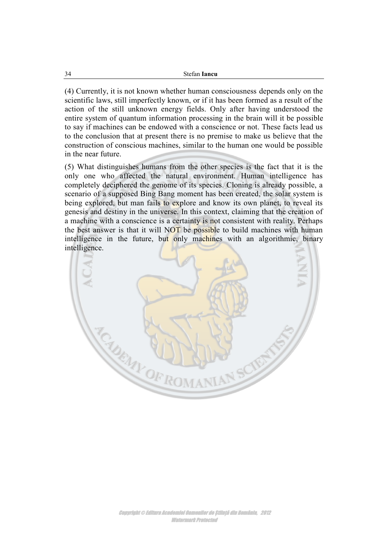(4) Currently, it is not known whether human consciousness depends only on the scientific laws, still imperfectly known, or if it has been formed as a result of the action of the still unknown energy fields. Only after having understood the entire system of quantum information processing in the brain will it be possible to say if machines can be endowed with a conscience or not. These facts lead us to the conclusion that at present there is no premise to make us believe that the construction of conscious machines, similar to the human one would be possible in the near future.

(5) What distinguishes humans from the other species is the fact that it is the only one who affected the natural environment. Human intelligence has completely deciphered the genome of its species. Cloning is already possible, a scenario of a supposed Bing Bang moment has been created, the solar system is being explored, but man fails to explore and know its own planet, to reveal its genesis and destiny in the universe. In this context, claiming that the creation of a machine with a conscience is a certainty is not consistent with reality. Perhaps the best answer is that it will NOT be possible to build machines with human intelligence in the future, but only machines with an algorithmic, binary intelligence.

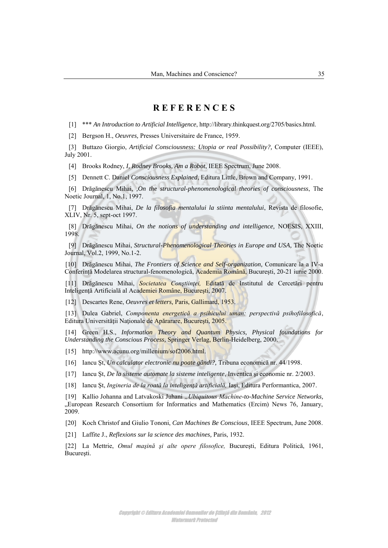### **R E F E R E N C E S**

[1] \*\*\* *An Introduction to Artificial Intelligence*, [http://library.thinkquest.org/2705/basics.html.](http://library.thinkquest.org/2705/basics.html)

[2] Bergson H., *Oeuvres,* Presses Universitaire de France, 1959.

[3] Buttazo Giorgio, *Artificial Consciousness: Utopia or real Possibility?,* Computer (IEEE), July 2001.

[4] Brooks Rodney, *I, Rodney Brooks, Am a Robot*, IEEE Spectrum, June 2008.

[5] Dennett C. Daniel *Consciousness Explained*, Editura Little, Brown and Company, 1991.

[6] Drăgănescu Mihai, *,On the structural-phenomenological theories of consciousness*, The Noetic Journal, 1, No.1, 1997.

[7] Drăgănescu Mihai, *De la filosofia mentalului la stiinta mentalului*, Revista de filosofie, XLIV, Nr. 5, sept-oct 1997.

[8] Drăgănescu Mihai, *On the notions of understanding and intelligence,* NOESIS, XXIII, 1998.

[9] Drăgănescu Mihai, *Structural-Phenomenological Theories in Europe and USA,* The Noetic Journal, Vol.2, 1999, No.1-2.

[10] Drăgănescu Mihai, *The Frontiers of Science and Self-organization,* Comunicare la a IV-a Conferință Modelarea structural-fenomenologică, Academia Română, București, 20-21 iunie 2000.

[11] Drăgănescu Mihai, *Societatea Conştiinţei,* Editată de Institutul de Cercetări pentru Inteligenţă Artificială al Academiei Române, Bucureşti, 2007.

[12] Descartes Rene, *Oeuvres et letters,* Paris, Gallimard, 1953.

[13] Dulea Gabriel, *Componenta energetică a psihicului uman: perspectivă psihofilosofică*, Editura Universităţii Naţionale de Apărarare, Bucureşti, 2005.

[14] Green H.S., *Information Theory and Quantum Physics, Physical foundations for Understanding the Conscious Process,* Springer Verlag, Berlin-Heidelberg, 2000.

[15] [http://www.acunu.org/millenium/sof2006.html.](http://www.acunu.org/millenium/sof2006.html)

[16] Iancu Şt, *Un calculator electronic nu poate gândi?,* Tribuna economică nr. 44/1998.

[17] Iancu Şt, *De la sisteme automate la sisteme inteligente*, Inventica şi economie nr. 2/2003.

[18] Iancu Şt, *Ingineria de la roată la inteligenţă artificială,* Iaşi, Editura Performantica, 2007.

[19] Kallio Johanna and Latvakoski Juhani *"Ubiquitous Machine-to-Machine Service Networks,* "European Research Consortium for Informatics and Mathematics (Ercim) News 76, January, 2009.

[20] Koch Christof and Giulio Tononi, *Can Machines Be Conscious*, IEEE Spectrum, June 2008.

[21] Laffite J., *Reflexions sur la science des machines,* Paris, 1932.

[22] La Mettrie, *Omul maşină şi alte opere filosofice,* Bucureşti, Editura Politică, 1961, Bucureşti.